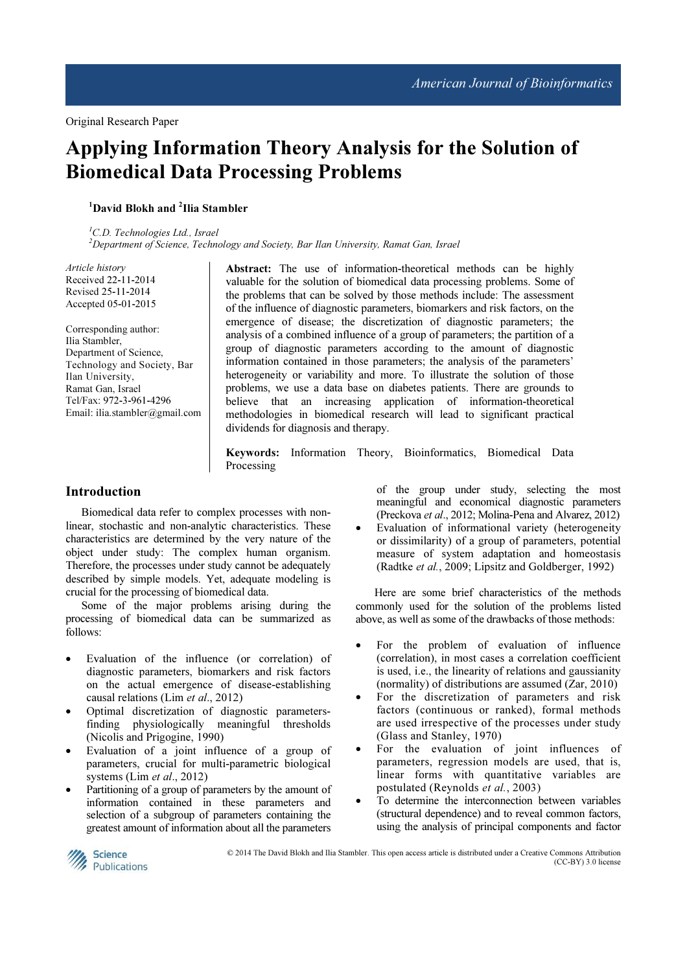# Applying Information Theory Analysis for the Solution of Biomedical Data Processing Problems

# <sup>1</sup>David Blokh and <sup>2</sup>Ilia Stambler

 ${}^{1}$ C.D. Technologies Ltd., Israel  $2$ Department of Science, Technology and Society, Bar Ilan University, Ramat Gan, Israel

Article history Received 22-11-2014 Revised 25-11-2014 Accepted 05-01-2015

Corresponding author: Ilia Stambler, Department of Science, Technology and Society, Bar Ilan University, Ramat Gan, Israel Tel/Fax: 972-3-961-4296 Email: ilia.stambler@gmail.com Abstract: The use of information-theoretical methods can be highly valuable for the solution of biomedical data processing problems. Some of the problems that can be solved by those methods include: The assessment of the influence of diagnostic parameters, biomarkers and risk factors, on the emergence of disease; the discretization of diagnostic parameters; the analysis of a combined influence of a group of parameters; the partition of a group of diagnostic parameters according to the amount of diagnostic information contained in those parameters; the analysis of the parameters' heterogeneity or variability and more. To illustrate the solution of those problems, we use a data base on diabetes patients. There are grounds to believe that an increasing application of information-theoretical methodologies in biomedical research will lead to significant practical dividends for diagnosis and therapy.

Keywords: Information Theory, Bioinformatics, Biomedical Data Processing

## Introduction

Biomedical data refer to complex processes with nonlinear, stochastic and non-analytic characteristics. These characteristics are determined by the very nature of the object under study: The complex human organism. Therefore, the processes under study cannot be adequately described by simple models. Yet, adequate modeling is crucial for the processing of biomedical data.

Some of the major problems arising during the processing of biomedical data can be summarized as follows:

- Evaluation of the influence (or correlation) of diagnostic parameters, biomarkers and risk factors on the actual emergence of disease-establishing causal relations (Lim et al., 2012)
- Optimal discretization of diagnostic parametersfinding physiologically meaningful thresholds (Nicolis and Prigogine, 1990)
- Evaluation of a joint influence of a group of parameters, crucial for multi-parametric biological systems (Lim et al., 2012)
- Partitioning of a group of parameters by the amount of information contained in these parameters and selection of a subgroup of parameters containing the greatest amount of information about all the parameters

of the group under study, selecting the most meaningful and economical diagnostic parameters (Preckova et al., 2012; Molina-Pena and Alvarez, 2012)

Evaluation of informational variety (heterogeneity or dissimilarity) of a group of parameters, potential measure of system adaptation and homeostasis (Radtke et al., 2009; Lipsitz and Goldberger, 1992)

 Here are some brief characteristics of the methods commonly used for the solution of the problems listed above, as well as some of the drawbacks of those methods:

- For the problem of evaluation of influence (correlation), in most cases a correlation coefficient is used, i.e., the linearity of relations and gaussianity (normality) of distributions are assumed (Zar, 2010)
- For the discretization of parameters and risk factors (continuous or ranked), formal methods are used irrespective of the processes under study (Glass and Stanley, 1970)
- For the evaluation of joint influences of parameters, regression models are used, that is, linear forms with quantitative variables are postulated (Reynolds et al., 2003)
- To determine the interconnection between variables (structural dependence) and to reveal common factors, using the analysis of principal components and factor



© 2014 The David Blokh and Ilia Stambler. This open access article is distributed under a Creative Commons Attribution (CC-BY) 3.0 license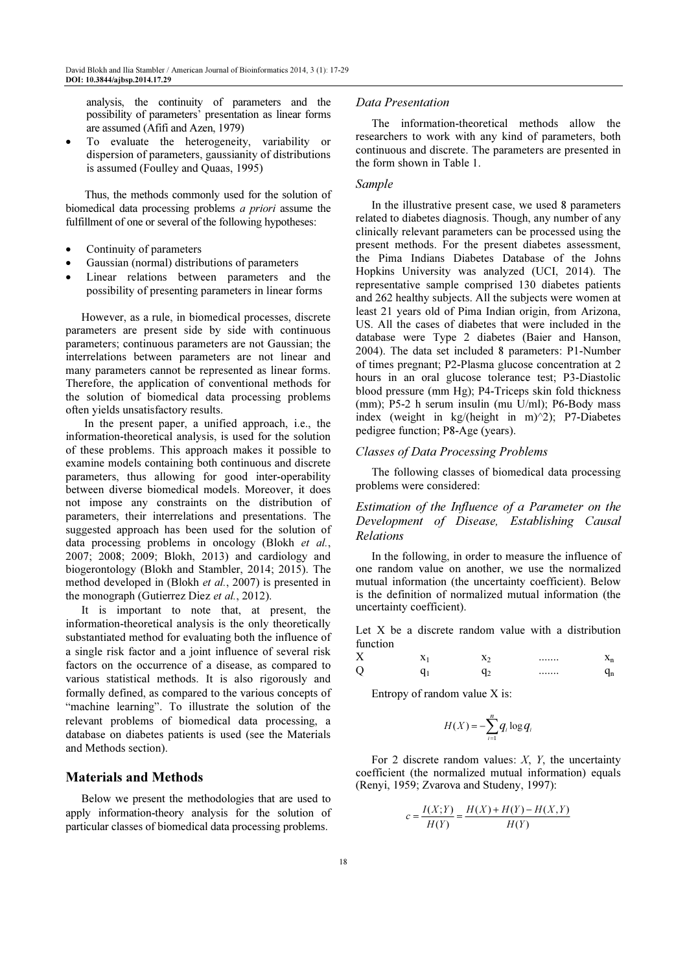analysis, the continuity of parameters and the possibility of parameters' presentation as linear forms are assumed (Afifi and Azen, 1979)

• To evaluate the heterogeneity, variability or dispersion of parameters, gaussianity of distributions is assumed (Foulley and Quaas, 1995)

 Thus, the methods commonly used for the solution of biomedical data processing problems a priori assume the fulfillment of one or several of the following hypotheses:

- Continuity of parameters
- Gaussian (normal) distributions of parameters
- Linear relations between parameters and the possibility of presenting parameters in linear forms

However, as a rule, in biomedical processes, discrete parameters are present side by side with continuous parameters; continuous parameters are not Gaussian; the interrelations between parameters are not linear and many parameters cannot be represented as linear forms. Therefore, the application of conventional methods for the solution of biomedical data processing problems often yields unsatisfactory results.

 In the present paper, a unified approach, i.e., the information-theoretical analysis, is used for the solution of these problems. This approach makes it possible to examine models containing both continuous and discrete parameters, thus allowing for good inter-operability between diverse biomedical models. Moreover, it does not impose any constraints on the distribution of parameters, their interrelations and presentations. The suggested approach has been used for the solution of data processing problems in oncology (Blokh et al., 2007; 2008; 2009; Blokh, 2013) and cardiology and biogerontology (Blokh and Stambler, 2014; 2015). The method developed in (Blokh et al., 2007) is presented in the monograph (Gutierrez Diez et al., 2012).

It is important to note that, at present, the information-theoretical analysis is the only theoretically substantiated method for evaluating both the influence of a single risk factor and a joint influence of several risk factors on the occurrence of a disease, as compared to various statistical methods. It is also rigorously and formally defined, as compared to the various concepts of "machine learning". To illustrate the solution of the relevant problems of biomedical data processing, a database on diabetes patients is used (see the Materials and Methods section).

## Materials and Methods

Below we present the methodologies that are used to apply information-theory analysis for the solution of particular classes of biomedical data processing problems.

#### Data Presentation

The information-theoretical methods allow the researchers to work with any kind of parameters, both continuous and discrete. The parameters are presented in the form shown in Table 1.

#### Sample

In the illustrative present case, we used 8 parameters related to diabetes diagnosis. Though, any number of any clinically relevant parameters can be processed using the present methods. For the present diabetes assessment, the Pima Indians Diabetes Database of the Johns Hopkins University was analyzed (UCI, 2014). The representative sample comprised 130 diabetes patients and 262 healthy subjects. All the subjects were women at least 21 years old of Pima Indian origin, from Arizona, US. All the cases of diabetes that were included in the database were Type 2 diabetes (Baier and Hanson, 2004). The data set included 8 parameters: P1-Number of times pregnant; P2-Plasma glucose concentration at 2 hours in an oral glucose tolerance test; P3-Diastolic blood pressure (mm Hg); P4-Triceps skin fold thickness (mm); P5-2 h serum insulin (mu U/ml); P6-Body mass index (weight in kg/(height in m) $\frac{2}{2}$ ; P7-Diabetes pedigree function; P8-Age (years).

#### Classes of Data Processing Problems

The following classes of biomedical data processing problems were considered:

Estimation of the Influence of a Parameter on the Development of Disease, Establishing Causal Relations

In the following, in order to measure the influence of one random value on another, we use the normalized mutual information (the uncertainty coefficient). Below is the definition of normalized mutual information (the uncertainty coefficient).

Let X be a discrete random value with a distribution function

| v<br>л | $\overline{ }$ | ∡⊾ | <br>$\sim$ $\sim$ 1<br>- |
|--------|----------------|----|--------------------------|
| Q      |                | æ  | <br>111                  |

Entropy of random value X is:

$$
H(X) = -\sum_{i=1}^{n} q_i \log q_i
$$

For 2 discrete random values:  $X$ ,  $Y$ , the uncertainty coefficient (the normalized mutual information) equals (Renyi, 1959; Zvarova and Studeny, 1997):

$$
c = \frac{I(X;Y)}{H(Y)} = \frac{H(X) + H(Y) - H(X,Y)}{H(Y)}
$$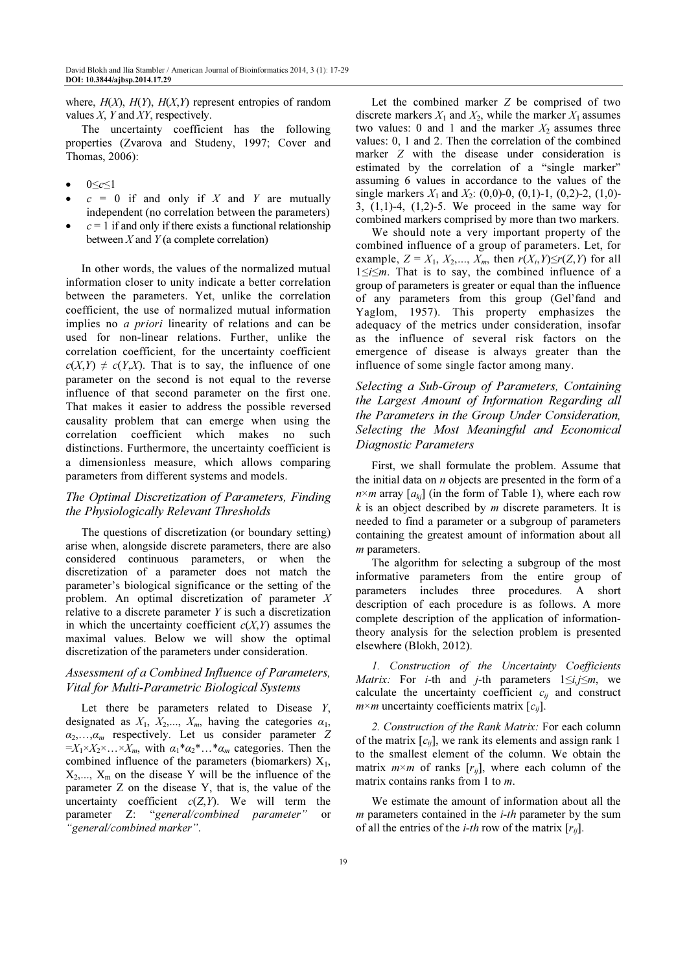where,  $H(X)$ ,  $H(Y)$ ,  $H(X,Y)$  represent entropies of random values  $X$ ,  $Y$  and  $XY$ , respectively.

The uncertainty coefficient has the following properties (Zvarova and Studeny, 1997; Cover and Thomas, 2006):

- $0 \leq c \leq 1$
- $c = 0$  if and only if X and Y are mutually independent (no correlation between the parameters)
- $c = 1$  if and only if there exists a functional relationship between  $X$  and  $Y$  (a complete correlation)

In other words, the values of the normalized mutual information closer to unity indicate a better correlation between the parameters. Yet, unlike the correlation coefficient, the use of normalized mutual information implies no a priori linearity of relations and can be used for non-linear relations. Further, unlike the correlation coefficient, for the uncertainty coefficient  $c(X,Y) \neq c(Y,X)$ . That is to say, the influence of one parameter on the second is not equal to the reverse influence of that second parameter on the first one. That makes it easier to address the possible reversed causality problem that can emerge when using the correlation coefficient which makes no such distinctions. Furthermore, the uncertainty coefficient is a dimensionless measure, which allows comparing parameters from different systems and models.

# The Optimal Discretization of Parameters, Finding the Physiologically Relevant Thresholds

The questions of discretization (or boundary setting) arise when, alongside discrete parameters, there are also considered continuous parameters, or when the discretization of a parameter does not match the parameter's biological significance or the setting of the problem. An optimal discretization of parameter X relative to a discrete parameter  $Y$  is such a discretization in which the uncertainty coefficient  $c(X, Y)$  assumes the maximal values. Below we will show the optimal discretization of the parameters under consideration.

## Assessment of a Combined Influence of Parameters, Vital for Multi-Parametric Biological Systems

Let there be parameters related to Disease  $Y$ , designated as  $X_1$ ,  $X_2$ ,...,  $X_m$ , having the categories  $\alpha_1$ ,  $\alpha_2, \ldots, \alpha_m$  respectively. Let us consider parameter Z  $=X_1\times X_2\times \ldots \times X_m$ , with  $\alpha_1*\alpha_2*\ldots*\alpha_m$  categories. Then the combined influence of the parameters (biomarkers)  $X_1$ ,  $X_2,..., X_m$  on the disease Y will be the influence of the parameter Z on the disease Y, that is, the value of the uncertainty coefficient  $c(Z,Y)$ . We will term the parameter Z: "general/combined parameter" or "general/combined marker".

Let the combined marker Z be comprised of two discrete markers  $X_1$  and  $X_2$ , while the marker  $X_1$  assumes two values: 0 and 1 and the marker  $X_2$  assumes three values: 0, 1 and 2. Then the correlation of the combined marker Z with the disease under consideration is estimated by the correlation of a "single marker" assuming 6 values in accordance to the values of the single markers  $X_1$  and  $X_2$ : (0,0)-0, (0,1)-1, (0,2)-2, (1,0)-3, (1,1)-4, (1,2)-5. We proceed in the same way for combined markers comprised by more than two markers.

We should note a very important property of the combined influence of a group of parameters. Let, for example,  $Z = X_1, X_2, \ldots, X_m$ , then  $r(X_i, Y) \le r(Z, Y)$  for all 1≤i≤m. That is to say, the combined influence of a group of parameters is greater or equal than the influence of any parameters from this group (Gel'fand and Yaglom, 1957). This property emphasizes the adequacy of the metrics under consideration, insofar as the influence of several risk factors on the emergence of disease is always greater than the influence of some single factor among many.

Selecting a Sub-Group of Parameters, Containing the Largest Amount of Information Regarding all the Parameters in the Group Under Consideration, Selecting the Most Meaningful and Economical Diagnostic Parameters

First, we shall formulate the problem. Assume that the initial data on  $n$  objects are presented in the form of a  $n \times m$  array  $[a_{ki}]$  (in the form of Table 1), where each row  $k$  is an object described by  $m$  discrete parameters. It is needed to find a parameter or a subgroup of parameters containing the greatest amount of information about all m parameters.

The algorithm for selecting a subgroup of the most informative parameters from the entire group of parameters includes three procedures. A short description of each procedure is as follows. A more complete description of the application of informationtheory analysis for the selection problem is presented elsewhere (Blokh, 2012).

1. Construction of the Uncertainty Coefficients *Matrix:* For *i*-th and *j*-th parameters  $1 \le i, j \le m$ , we calculate the uncertainty coefficient  $c_{ii}$  and construct  $m \times m$  uncertainty coefficients matrix  $[c_{ij}]$ .

2. Construction of the Rank Matrix: For each column of the matrix  $[c_{ii}]$ , we rank its elements and assign rank 1 to the smallest element of the column. We obtain the matrix  $m \times m$  of ranks  $[r_{ii}]$ , where each column of the matrix contains ranks from 1 to m.

We estimate the amount of information about all the  *parameters contained in the*  $*i*-th$  *parameter by the sum* of all the entries of the *i-th* row of the matrix  $[r_{ij}]$ .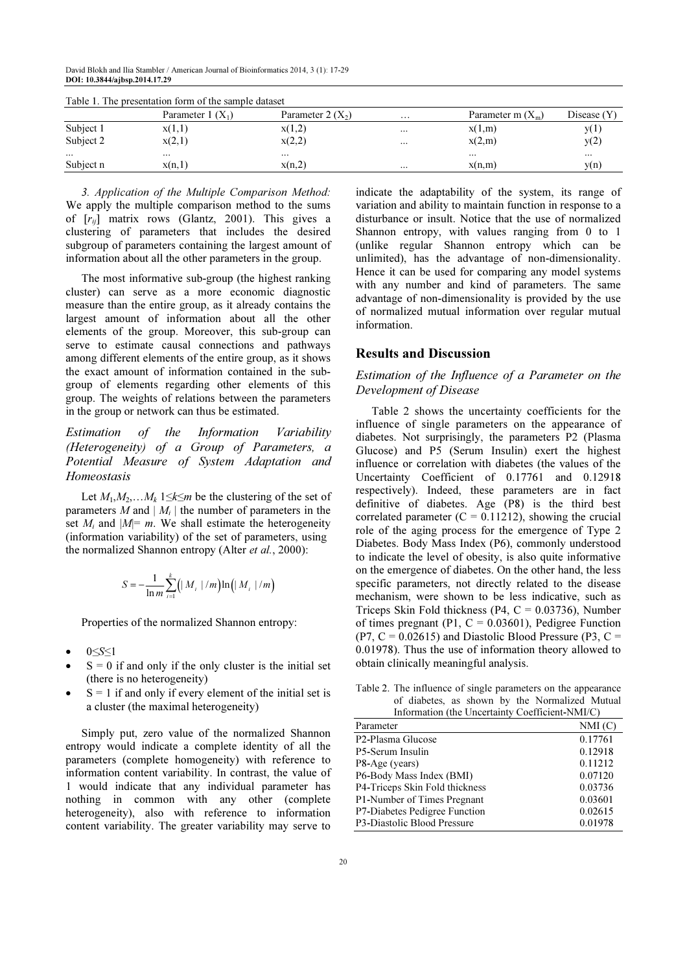David Blokh and Ilia Stambler / American Journal of Bioinformatics 2014, 3 (1): 17-29 DOI: 10.3844/ajbsp.2014.17.29

| Table 1. The presentation form of the sample dataset |                    |                     |          |                     |             |  |  |
|------------------------------------------------------|--------------------|---------------------|----------|---------------------|-------------|--|--|
|                                                      | Parameter $1(X_1)$ | Parameter 2 $(X_2)$ | $\cdots$ | Parameter m $(X_m)$ | Disease (Y) |  |  |
| Subject 1                                            | x(1,1)             | x(1,2)              | $\cdots$ | x(1,m)              | v(1)        |  |  |
| Subject 2                                            | x(2,1)             | x(2,2)              | $\cdots$ | x(2,m)              | y(2)        |  |  |
| $\cdots$                                             | $\cdots$           | $\cdots$            |          |                     |             |  |  |
| Subject n                                            | x(n, l)            | x(n,2)              | $\cdots$ | x(n,m)              | y(n)        |  |  |

Table 1. The presentation form of the sample dataset

3. Application of the Multiple Comparison Method: We apply the multiple comparison method to the sums of  $[r_{ij}]$  matrix rows (Glantz, 2001). This gives a clustering of parameters that includes the desired subgroup of parameters containing the largest amount of information about all the other parameters in the group.

The most informative sub-group (the highest ranking cluster) can serve as a more economic diagnostic measure than the entire group, as it already contains the largest amount of information about all the other elements of the group. Moreover, this sub-group can serve to estimate causal connections and pathways among different elements of the entire group, as it shows the exact amount of information contained in the subgroup of elements regarding other elements of this group. The weights of relations between the parameters in the group or network can thus be estimated.

Estimation of the Information Variability (Heterogeneity) of a Group of Parameters, a Potential Measure of System Adaptation and Homeostasis

Let  $M_1, M_2, \ldots, M_k$  1≤ $k \le m$  be the clustering of the set of parameters M and  $|M_i|$  the number of parameters in the set  $M_i$  and  $|M|=m$ . We shall estimate the heterogeneity (information variability) of the set of parameters, using the normalized Shannon entropy (Alter *et al.*, 2000):

$$
S = -\frac{1}{\ln m} \sum_{i=1}^{k} (|M_i|/m) \ln (|M_i|/m)
$$

Properties of the normalized Shannon entropy:

- 0≤S≤1
- $S = 0$  if and only if the only cluster is the initial set (there is no heterogeneity)
- $S = 1$  if and only if every element of the initial set is a cluster (the maximal heterogeneity)

Simply put, zero value of the normalized Shannon entropy would indicate a complete identity of all the parameters (complete homogeneity) with reference to information content variability. In contrast, the value of 1 would indicate that any individual parameter has nothing in common with any other (complete heterogeneity), also with reference to information content variability. The greater variability may serve to

indicate the adaptability of the system, its range of variation and ability to maintain function in response to a disturbance or insult. Notice that the use of normalized Shannon entropy, with values ranging from 0 to 1 (unlike regular Shannon entropy which can be unlimited), has the advantage of non-dimensionality. Hence it can be used for comparing any model systems with any number and kind of parameters. The same advantage of non-dimensionality is provided by the use of normalized mutual information over regular mutual information.

# Results and Discussion

## Estimation of the Influence of a Parameter on the Development of Disease

Table 2 shows the uncertainty coefficients for the influence of single parameters on the appearance of diabetes. Not surprisingly, the parameters P2 (Plasma Glucose) and P5 (Serum Insulin) exert the highest influence or correlation with diabetes (the values of the Uncertainty Coefficient of 0.17761 and 0.12918 respectively). Indeed, these parameters are in fact definitive of diabetes. Age (P8) is the third best correlated parameter  $(C = 0.11212)$ , showing the crucial role of the aging process for the emergence of Type 2 Diabetes. Body Mass Index (P6), commonly understood to indicate the level of obesity, is also quite informative on the emergence of diabetes. On the other hand, the less specific parameters, not directly related to the disease mechanism, were shown to be less indicative, such as Triceps Skin Fold thickness (P4,  $C = 0.03736$ ), Number of times pregnant (P1,  $C = 0.03601$ ), Pedigree Function (P7,  $C = 0.02615$ ) and Diastolic Blood Pressure (P3,  $C =$ 0.01978). Thus the use of information theory allowed to obtain clinically meaningful analysis.

Table 2. The influence of single parameters on the appearance of diabetes, as shown by the Normalized Mutual Information (the Uncertainty Coefficient-NMI/C)

| Parameter                      | NMI(C)  |
|--------------------------------|---------|
| P <sub>2</sub> -Plasma Glucose | 0.17761 |
| P5-Serum Insulin               | 0.12918 |
| P8-Age (years)                 | 0.11212 |
| P6-Body Mass Index (BMI)       | 0.07120 |
| P4-Triceps Skin Fold thickness | 0.03736 |
| P1-Number of Times Pregnant    | 0.03601 |
| P7-Diabetes Pedigree Function  | 0.02615 |
| P3-Diastolic Blood Pressure    | 0.01978 |
|                                |         |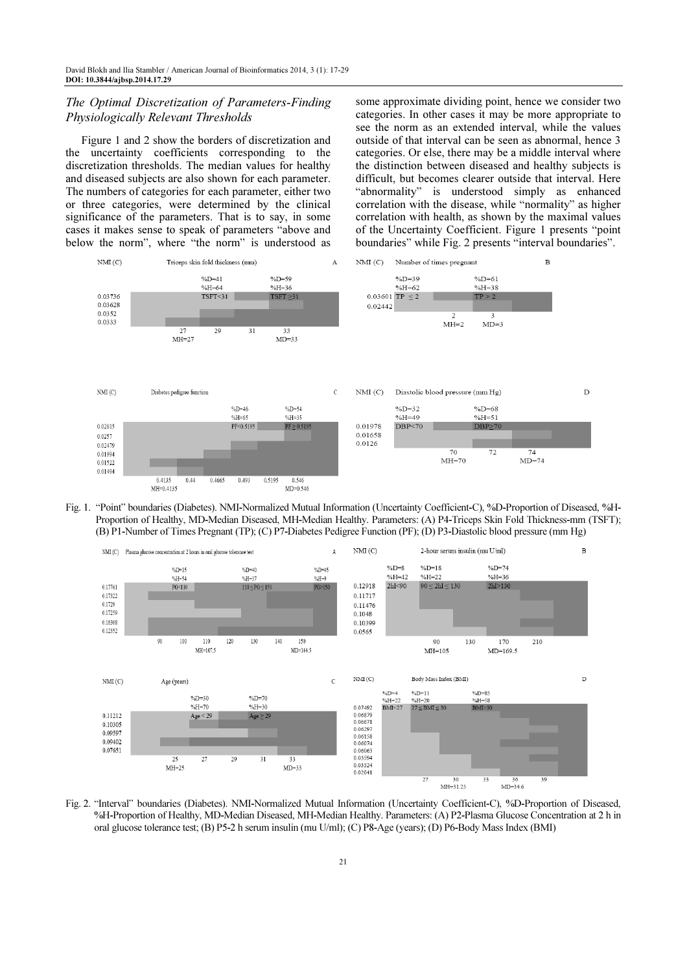### The Optimal Discretization of Parameters-Finding Physiologically Relevant Thresholds

Figure 1 and 2 show the borders of discretization and the uncertainty coefficients corresponding to the discretization thresholds. The median values for healthy and diseased subjects are also shown for each parameter. The numbers of categories for each parameter, either two or three categories, were determined by the clinical significance of the parameters. That is to say, in some cases it makes sense to speak of parameters "above and below the norm", where "the norm" is understood as some approximate dividing point, hence we consider two categories. In other cases it may be more appropriate to see the norm as an extended interval, while the values outside of that interval can be seen as abnormal, hence 3 categories. Or else, there may be a middle interval where the distinction between diseased and healthy subjects is difficult, but becomes clearer outside that interval. Here "abnormality" is understood simply as enhanced correlation with the disease, while "normality" as higher correlation with health, as shown by the maximal values of the Uncertainty Coefficient. Figure 1 presents "point boundaries" while Fig. 2 presents "interval boundaries".



Fig. 1. "Point" boundaries (Diabetes). NMI-Normalized Mutual Information (Uncertainty Coefficient-C), %D-Proportion of Diseased, %H-Proportion of Healthy, MD-Median Diseased, MH-Median Healthy. Parameters: (A) P4-Triceps Skin Fold Thickness-mm (TSFT); (B) P1-Number of Times Pregnant (TP); (C) P7-Diabetes Pedigree Function (PF); (D) P3-Diastolic blood pressure (mm Hg)



Fig. 2. "Interval" boundaries (Diabetes). NMI-Normalized Mutual Information (Uncertainty Coefficient-C), %D-Proportion of Diseased, %H-Proportion of Healthy, MD-Median Diseased, MH-Median Healthy. Parameters: (A) P2-Plasma Glucose Concentration at 2 h in oral glucose tolerance test; (B) P5-2 h serum insulin (mu U/ml); (C) P8-Age (years); (D) P6-Body Mass Index (BMI)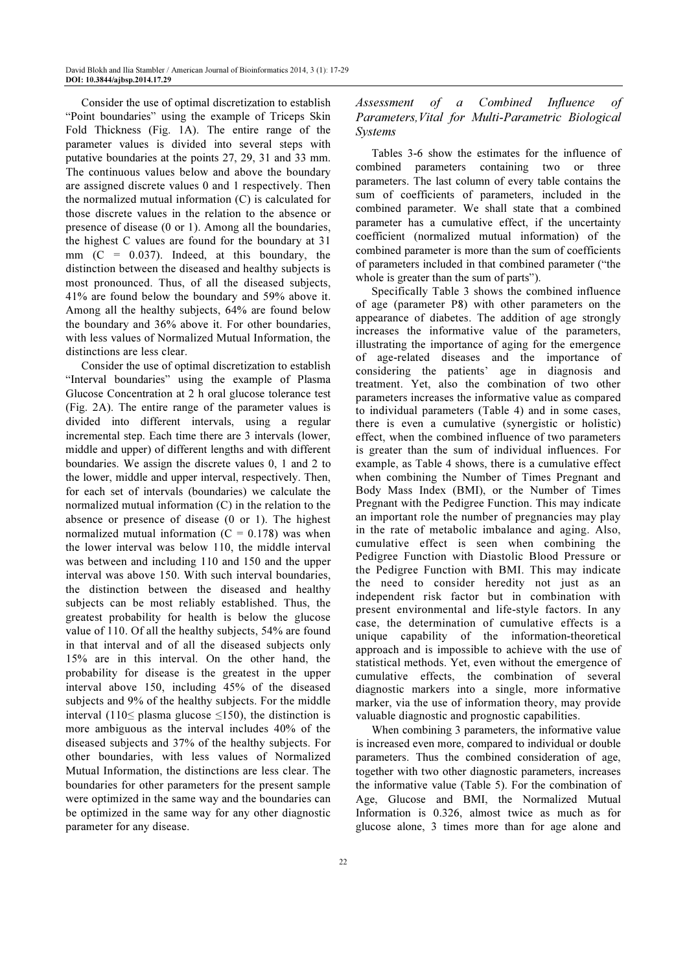Consider the use of optimal discretization to establish "Point boundaries" using the example of Triceps Skin Fold Thickness (Fig. 1A). The entire range of the parameter values is divided into several steps with putative boundaries at the points 27, 29, 31 and 33 mm. The continuous values below and above the boundary are assigned discrete values 0 and 1 respectively. Then the normalized mutual information (C) is calculated for those discrete values in the relation to the absence or presence of disease (0 or 1). Among all the boundaries, the highest C values are found for the boundary at 31 mm  $(C = 0.037)$ . Indeed, at this boundary, the distinction between the diseased and healthy subjects is most pronounced. Thus, of all the diseased subjects, 41% are found below the boundary and 59% above it. Among all the healthy subjects, 64% are found below the boundary and 36% above it. For other boundaries, with less values of Normalized Mutual Information, the distinctions are less clear.

Consider the use of optimal discretization to establish "Interval boundaries" using the example of Plasma Glucose Concentration at 2 h oral glucose tolerance test (Fig. 2A). The entire range of the parameter values is divided into different intervals, using a regular incremental step. Each time there are 3 intervals (lower, middle and upper) of different lengths and with different boundaries. We assign the discrete values 0, 1 and 2 to the lower, middle and upper interval, respectively. Then, for each set of intervals (boundaries) we calculate the normalized mutual information (C) in the relation to the absence or presence of disease (0 or 1). The highest normalized mutual information  $(C = 0.178)$  was when the lower interval was below 110, the middle interval was between and including 110 and 150 and the upper interval was above 150. With such interval boundaries, the distinction between the diseased and healthy subjects can be most reliably established. Thus, the greatest probability for health is below the glucose value of 110. Of all the healthy subjects, 54% are found in that interval and of all the diseased subjects only 15% are in this interval. On the other hand, the probability for disease is the greatest in the upper interval above 150, including 45% of the diseased subjects and 9% of the healthy subjects. For the middle interval (110≤ plasma glucose ≤150), the distinction is more ambiguous as the interval includes 40% of the diseased subjects and 37% of the healthy subjects. For other boundaries, with less values of Normalized Mutual Information, the distinctions are less clear. The boundaries for other parameters for the present sample were optimized in the same way and the boundaries can be optimized in the same way for any other diagnostic parameter for any disease.

# Assessment of a Combined Influence of Parameters,Vital for Multi-Parametric Biological Systems

Tables 3-6 show the estimates for the influence of combined parameters containing two or three parameters. The last column of every table contains the sum of coefficients of parameters, included in the combined parameter. We shall state that a combined parameter has a cumulative effect, if the uncertainty coefficient (normalized mutual information) of the combined parameter is more than the sum of coefficients of parameters included in that combined parameter ("the whole is greater than the sum of parts").

Specifically Table 3 shows the combined influence of age (parameter P8) with other parameters on the appearance of diabetes. The addition of age strongly increases the informative value of the parameters, illustrating the importance of aging for the emergence of age-related diseases and the importance of considering the patients' age in diagnosis and treatment. Yet, also the combination of two other parameters increases the informative value as compared to individual parameters (Table 4) and in some cases, there is even a cumulative (synergistic or holistic) effect, when the combined influence of two parameters is greater than the sum of individual influences. For example, as Table 4 shows, there is a cumulative effect when combining the Number of Times Pregnant and Body Mass Index (BMI), or the Number of Times Pregnant with the Pedigree Function. This may indicate an important role the number of pregnancies may play in the rate of metabolic imbalance and aging. Also, cumulative effect is seen when combining the Pedigree Function with Diastolic Blood Pressure or the Pedigree Function with BMI. This may indicate the need to consider heredity not just as an independent risk factor but in combination with present environmental and life-style factors. In any case, the determination of cumulative effects is a unique capability of the information-theoretical approach and is impossible to achieve with the use of statistical methods. Yet, even without the emergence of cumulative effects, the combination of several diagnostic markers into a single, more informative marker, via the use of information theory, may provide valuable diagnostic and prognostic capabilities.

When combining 3 parameters, the informative value is increased even more, compared to individual or double parameters. Thus the combined consideration of age, together with two other diagnostic parameters, increases the informative value (Table 5). For the combination of Age, Glucose and BMI, the Normalized Mutual Information is 0.326, almost twice as much as for glucose alone, 3 times more than for age alone and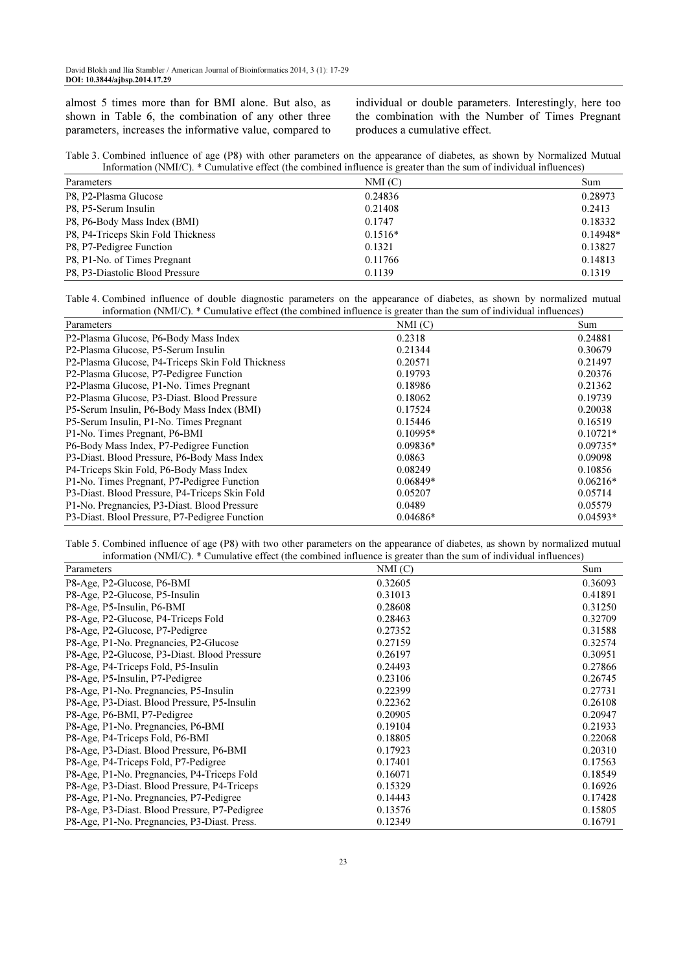almost 5 times more than for BMI alone. But also, as shown in Table 6, the combination of any other three parameters, increases the informative value, compared to individual or double parameters. Interestingly, here too the combination with the Number of Times Pregnant produces a cumulative effect.

|  | Table 3. Combined influence of age (P8) with other parameters on the appearance of diabetes, as shown by Normalized Mutual |  |
|--|----------------------------------------------------------------------------------------------------------------------------|--|
|  | Information (NMI/C). * Cumulative effect (the combined influence is greater than the sum of individual influences)         |  |

| Parameters                         | NMI(C)    | Sum        |
|------------------------------------|-----------|------------|
| P8, P2-Plasma Glucose              | 0.24836   | 0.28973    |
| P8, P5-Serum Insulin               | 0.21408   | 0.2413     |
| P8, P6-Body Mass Index (BMI)       | 0.1747    | 0.18332    |
| P8, P4-Triceps Skin Fold Thickness | $0.1516*$ | $0.14948*$ |
| P8, P7-Pedigree Function           | 0.1321    | 0.13827    |
| P8, P1-No. of Times Pregnant       | 0.11766   | 0.14813    |
| P8, P3-Diastolic Blood Pressure    | 0.1139    | 0.1319     |

Table 4. Combined influence of double diagnostic parameters on the appearance of diabetes, as shown by normalized mutual information (NMI/C). \* Cumulative effect (the combined influence is greater than the sum of individual influences)

| Parameters                                                    | NM(C)      | Sum        |
|---------------------------------------------------------------|------------|------------|
| P2-Plasma Glucose, P6-Body Mass Index                         | 0.2318     | 0.24881    |
| P <sub>2</sub> -Plasma Glucose, P <sub>2</sub> -Serum Insulin | 0.21344    | 0.30679    |
| P2-Plasma Glucose, P4-Triceps Skin Fold Thickness             | 0.20571    | 0.21497    |
| P2-Plasma Glucose, P7-Pedigree Function                       | 0.19793    | 0.20376    |
| P2-Plasma Glucose, P1-No. Times Pregnant                      | 0.18986    | 0.21362    |
| P2-Plasma Glucose, P3-Diast. Blood Pressure                   | 0.18062    | 0.19739    |
| P5-Serum Insulin, P6-Body Mass Index (BMI)                    | 0.17524    | 0.20038    |
| P5-Serum Insulin, P1-No. Times Pregnant                       | 0.15446    | 0.16519    |
| P1-No. Times Pregnant, P6-BMI                                 | $0.10995*$ | $0.10721*$ |
| P6-Body Mass Index, P7-Pedigree Function                      | $0.09836*$ | $0.09735*$ |
| P3-Diast. Blood Pressure, P6-Body Mass Index                  | 0.0863     | 0.09098    |
| P4-Triceps Skin Fold, P6-Body Mass Index                      | 0.08249    | 0.10856    |
| P1-No. Times Pregnant, P7-Pedigree Function                   | $0.06849*$ | $0.06216*$ |
| P3-Diast. Blood Pressure, P4-Triceps Skin Fold                | 0.05207    | 0.05714    |
| P1-No. Pregnancies, P3-Diast. Blood Pressure                  | 0.0489     | 0.05579    |
| P3-Diast. Blool Pressure, P7-Pedigree Function                | $0.04686*$ | $0.04593*$ |

Table 5. Combined influence of age (P8) with two other parameters on the appearance of diabetes, as shown by normalized mutual information (NMI/C). \* Cumulative effect (the combined influence is greater than the sum of individual influences)

| Parameters                                    | NMI(C)  | Sum     |
|-----------------------------------------------|---------|---------|
| P8-Age, P2-Glucose, P6-BMI                    | 0.32605 | 0.36093 |
| P8-Age, P2-Glucose, P5-Insulin                | 0.31013 | 0.41891 |
| P8-Age, P5-Insulin, P6-BMI                    | 0.28608 | 0.31250 |
| P8-Age, P2-Glucose, P4-Triceps Fold           | 0.28463 | 0.32709 |
| P8-Age, P2-Glucose, P7-Pedigree               | 0.27352 | 0.31588 |
| P8-Age, P1-No. Pregnancies, P2-Glucose        | 0.27159 | 0.32574 |
| P8-Age, P2-Glucose, P3-Diast. Blood Pressure  | 0.26197 | 0.30951 |
| P8-Age, P4-Triceps Fold, P5-Insulin           | 0.24493 | 0.27866 |
| P8-Age, P5-Insulin, P7-Pedigree               | 0.23106 | 0.26745 |
| P8-Age, P1-No. Pregnancies, P5-Insulin        | 0.22399 | 0.27731 |
| P8-Age, P3-Diast. Blood Pressure, P5-Insulin  | 0.22362 | 0.26108 |
| P8-Age, P6-BMI, P7-Pedigree                   | 0.20905 | 0.20947 |
| P8-Age, P1-No. Pregnancies, P6-BMI            | 0.19104 | 0.21933 |
| P8-Age, P4-Triceps Fold, P6-BMI               | 0.18805 | 0.22068 |
| P8-Age, P3-Diast. Blood Pressure, P6-BMI      | 0.17923 | 0.20310 |
| P8-Age, P4-Triceps Fold, P7-Pedigree          | 0.17401 | 0.17563 |
| P8-Age, P1-No. Pregnancies, P4-Triceps Fold   | 0.16071 | 0.18549 |
| P8-Age, P3-Diast. Blood Pressure, P4-Triceps  | 0.15329 | 0.16926 |
| P8-Age, P1-No. Pregnancies, P7-Pedigree       | 0.14443 | 0.17428 |
| P8-Age, P3-Diast. Blood Pressure, P7-Pedigree | 0.13576 | 0.15805 |
| P8-Age, P1-No. Pregnancies, P3-Diast. Press.  | 0.12349 | 0.16791 |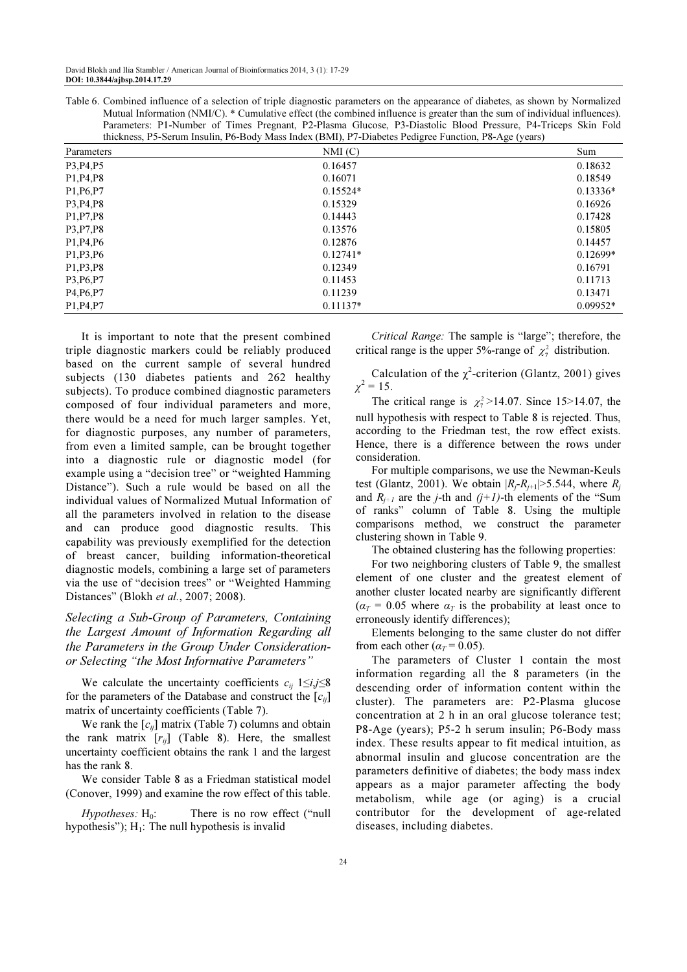Table 6. Combined influence of a selection of triple diagnostic parameters on the appearance of diabetes, as shown by Normalized Mutual Information (NMI/C). \* Cumulative effect (the combined influence is greater than the sum of individual influences). Parameters: P1-Number of Times Pregnant, P2-Plasma Glucose, P3-Diastolic Blood Pressure, P4-Triceps Skin Fold thickness, P5-Serum Insulin, P6-Body Mass Index (BMI), P7-Diabetes Pedigree Function, P8-Age (years)

| Parameters                                       | NMI(C)     | Sum        |
|--------------------------------------------------|------------|------------|
| P3, P4, P5                                       | 0.16457    | 0.18632    |
| P <sub>1</sub> , P <sub>4</sub> , P <sub>8</sub> | 0.16071    | 0.18549    |
| P <sub>1</sub> , P <sub>6</sub> , P <sub>7</sub> | $0.15524*$ | $0.13336*$ |
| P3, P4, P8                                       | 0.15329    | 0.16926    |
| P <sub>1</sub> , P <sub>7</sub> , P <sub>8</sub> | 0.14443    | 0.17428    |
| P3, P7, P8                                       | 0.13576    | 0.15805    |
| P <sub>1</sub> , P <sub>4</sub> , P <sub>6</sub> | 0.12876    | 0.14457    |
| P <sub>1</sub> , P <sub>3</sub> , P <sub>6</sub> | $0.12741*$ | $0.12699*$ |
| P <sub>1</sub> , P <sub>3</sub> , P <sub>8</sub> | 0.12349    | 0.16791    |
| P3, P6, P7                                       | 0.11453    | 0.11713    |
| P <sub>4</sub> , P <sub>6</sub> , P <sub>7</sub> | 0.11239    | 0.13471    |
| P <sub>1</sub> , P <sub>4</sub> , P <sub>7</sub> | $0.11137*$ | $0.09952*$ |

It is important to note that the present combined triple diagnostic markers could be reliably produced based on the current sample of several hundred subjects (130 diabetes patients and 262 healthy subjects). To produce combined diagnostic parameters composed of four individual parameters and more, there would be a need for much larger samples. Yet, for diagnostic purposes, any number of parameters, from even a limited sample, can be brought together into a diagnostic rule or diagnostic model (for example using a "decision tree" or "weighted Hamming Distance"). Such a rule would be based on all the individual values of Normalized Mutual Information of all the parameters involved in relation to the disease and can produce good diagnostic results. This capability was previously exemplified for the detection of breast cancer, building information-theoretical diagnostic models, combining a large set of parameters via the use of "decision trees" or "Weighted Hamming Distances" (Blokh et al., 2007; 2008).

Selecting a Sub-Group of Parameters, Containing the Largest Amount of Information Regarding all the Parameters in the Group Under Considerationor Selecting "the Most Informative Parameters"

We calculate the uncertainty coefficients  $c_{ii}$  1≤i,j≤8 for the parameters of the Database and construct the  $[c_{ij}]$ matrix of uncertainty coefficients (Table 7).

We rank the  $[c_{ij}]$  matrix (Table 7) columns and obtain the rank matrix  $[r_{ij}]$  (Table 8). Here, the smallest uncertainty coefficient obtains the rank 1 and the largest has the rank 8.

We consider Table 8 as a Friedman statistical model (Conover, 1999) and examine the row effect of this table.

 $Hypotheses: H_0:$  There is no row effect ("null hypothesis");  $H_1$ : The null hypothesis is invalid

Critical Range: The sample is "large"; therefore, the critical range is the upper 5%-range of  $\chi^2$  distribution.

Calculation of the  $\chi^2$ -criterion (Glantz, 2001) gives  $\chi^2 = 15$ .

The critical range is  $\chi^2$ >14.07. Since 15>14.07, the null hypothesis with respect to Table 8 is rejected. Thus, according to the Friedman test, the row effect exists. Hence, there is a difference between the rows under consideration.

For multiple comparisons, we use the Newman-Keuls test (Glantz, 2001). We obtain  $|R_i-R_{i+1}|>5.544$ , where  $R_i$ and  $R_{j+1}$  are the j-th and  $(j+1)$ -th elements of the "Sum of ranks" column of Table 8. Using the multiple comparisons method, we construct the parameter clustering shown in Table 9.

The obtained clustering has the following properties:

For two neighboring clusters of Table 9, the smallest element of one cluster and the greatest element of another cluster located nearby are significantly different  $(\alpha_T = 0.05$  where  $\alpha_T$  is the probability at least once to erroneously identify differences);

Elements belonging to the same cluster do not differ from each other ( $\alpha_T$  = 0.05).

The parameters of Cluster 1 contain the most information regarding all the 8 parameters (in the descending order of information content within the cluster). The parameters are: P2-Plasma glucose concentration at 2 h in an oral glucose tolerance test; P8-Age (years); P5-2 h serum insulin; P6-Body mass index. These results appear to fit medical intuition, as abnormal insulin and glucose concentration are the parameters definitive of diabetes; the body mass index appears as a major parameter affecting the body metabolism, while age (or aging) is a crucial contributor for the development of age-related diseases, including diabetes.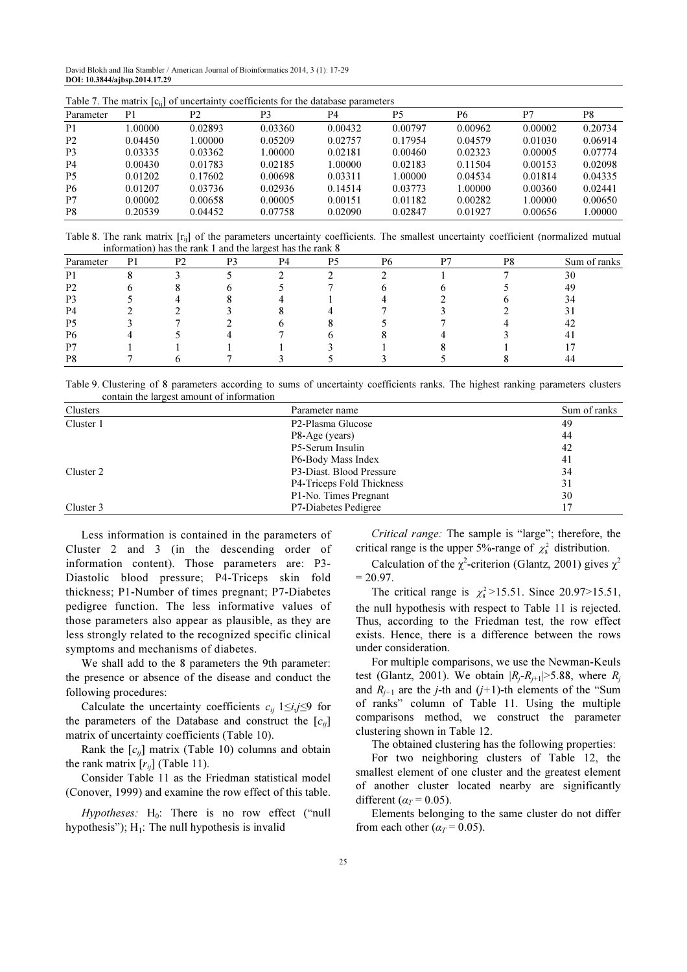David Blokh and Ilia Stambler / American Journal of Bioinformatics 2014, 3 (1): 17-29 DOI: 10.3844/ajbsp.2014.17.29

| Table $\ell$ . The matrix $ c_{ii} $ of uncertainty coefficients for the database parameters |         |         |         |         |         |         |         |         |
|----------------------------------------------------------------------------------------------|---------|---------|---------|---------|---------|---------|---------|---------|
| Parameter                                                                                    | P1      | P2      | P3      | P4      | Р5      | P6      | P7      | P8      |
| P <sub>1</sub>                                                                               | 1.00000 | 0.02893 | 0.03360 | 0.00432 | 0.00797 | 0.00962 | 0.00002 | 0.20734 |
| P <sub>2</sub>                                                                               | 0.04450 | 1.00000 | 0.05209 | 0.02757 | 0.17954 | 0.04579 | 0.01030 | 0.06914 |
| P3                                                                                           | 0.03335 | 0.03362 | 1.00000 | 0.02181 | 0.00460 | 0.02323 | 0.00005 | 0.07774 |
| P <sub>4</sub>                                                                               | 0.00430 | 0.01783 | 0.02185 | 1.00000 | 0.02183 | 0.11504 | 0.00153 | 0.02098 |
| <b>P5</b>                                                                                    | 0.01202 | 0.17602 | 0.00698 | 0.03311 | 1.00000 | 0.04534 | 0.01814 | 0.04335 |
| P6                                                                                           | 0.01207 | 0.03736 | 0.02936 | 0.14514 | 0.03773 | 1.00000 | 0.00360 | 0.02441 |
| P7                                                                                           | 0.00002 | 0.00658 | 0.00005 | 0.00151 | 0.01182 | 0.00282 | 1.00000 | 0.00650 |
| P <sub>8</sub>                                                                               | 0.20539 | 0.04452 | 0.07758 | 0.02090 | 0.02847 | 0.01927 | 0.00656 | 1.00000 |

Table 7. The matrix  $[c_{ij}]$  of uncertainty coefficients for the database parameters

Table 8. The rank matrix [rij] of the parameters uncertainty coefficients. The smallest uncertainty coefficient (normalized mutual information) has the rank 1 and the largest has the rank 8

|                |    |                | mormanon) has the rain T and the largest has the rain o |    |    |    |    |    |              |
|----------------|----|----------------|---------------------------------------------------------|----|----|----|----|----|--------------|
| Parameter      | P1 | P <sub>2</sub> | P3                                                      | P4 | P5 | Р6 | D7 | P8 | Sum of ranks |
| P1             |    |                |                                                         |    |    |    |    |    | 30           |
| P <sub>2</sub> |    |                |                                                         |    |    |    |    |    | 49           |
| P3             |    |                |                                                         |    |    |    |    |    |              |
| P4             |    |                |                                                         |    |    |    |    |    |              |
| P5             |    |                |                                                         |    |    |    |    |    |              |
| P <sub>6</sub> |    |                |                                                         |    |    |    |    |    |              |
| P7             |    |                |                                                         |    |    |    |    |    |              |
| P8             |    |                |                                                         |    |    |    |    |    |              |

Table 9. Clustering of 8 parameters according to sums of uncertainty coefficients ranks. The highest ranking parameters clusters contain the largest amount of information

| ັ<br>Clusters | Parameter name                 | Sum of ranks |
|---------------|--------------------------------|--------------|
| Cluster 1     | P <sub>2</sub> -Plasma Glucose | 49           |
|               | P8-Age (years)                 | 44           |
|               | P5-Serum Insulin               | 42           |
|               | P6-Body Mass Index             | 41           |
| Cluster 2     | P3-Diast. Blood Pressure       | 34           |
|               | P4-Triceps Fold Thickness      | 31           |
|               | P1-No. Times Pregnant          | 30           |
| Cluster 3     | P7-Diabetes Pedigree           | 17           |

Less information is contained in the parameters of Cluster 2 and 3 (in the descending order of information content). Those parameters are: P3- Diastolic blood pressure; P4-Triceps skin fold thickness; P1-Number of times pregnant; P7-Diabetes pedigree function. The less informative values of those parameters also appear as plausible, as they are less strongly related to the recognized specific clinical symptoms and mechanisms of diabetes.

We shall add to the 8 parameters the 9th parameter: the presence or absence of the disease and conduct the following procedures:

Calculate the uncertainty coefficients  $c_{ij}$  1≤i,j≤9 for the parameters of the Database and construct the  $[c_{ii}]$ matrix of uncertainty coefficients (Table 10).

Rank the  $[c_{ij}]$  matrix (Table 10) columns and obtain the rank matrix  $[r_{ii}]$  (Table 11).

Consider Table 11 as the Friedman statistical model (Conover, 1999) and examine the row effect of this table.

Hypotheses:  $H_0$ : There is no row effect ("null hypothesis");  $H_1$ : The null hypothesis is invalid

Critical range: The sample is "large"; therefore, the critical range is the upper 5%-range of  $\chi^2$  distribution.

Calculation of the  $\chi^2$ -criterion (Glantz, 2001) gives  $\chi^2$  $= 20.97.$ 

The critical range is  $\chi^2$ >15.51. Since 20.97>15.51, the null hypothesis with respect to Table 11 is rejected. Thus, according to the Friedman test, the row effect exists. Hence, there is a difference between the rows under consideration.

For multiple comparisons, we use the Newman-Keuls test (Glantz, 2001). We obtain  $|R_i-R_{i+1}|>5.88$ , where  $R_i$ and  $R_{i+1}$  are the *j*-th and (*j*+1)-th elements of the "Sum of ranks" column of Table 11. Using the multiple comparisons method, we construct the parameter clustering shown in Table 12.

The obtained clustering has the following properties:

For two neighboring clusters of Table 12, the smallest element of one cluster and the greatest element of another cluster located nearby are significantly different ( $\alpha_T$  = 0.05).

Elements belonging to the same cluster do not differ from each other ( $\alpha_T$  = 0.05).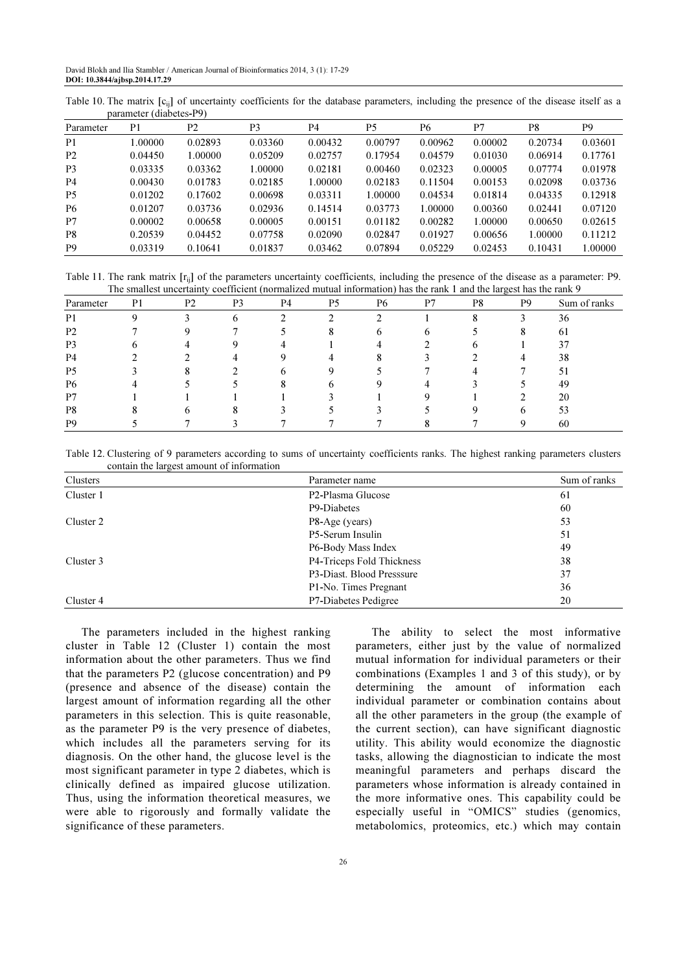Table 10. The matrix  $[c_{ij}]$  of uncertainty coefficients for the database parameters, including the presence of the disease itself as a parameter (diabetes-P9)

| Parameter      | P1      | P <sub>2</sub> | P <sub>3</sub> | P4      | P5      | Р6      | P7      | P8      | P9      |
|----------------|---------|----------------|----------------|---------|---------|---------|---------|---------|---------|
| P <sub>1</sub> | 1.00000 | 0.02893        | 0.03360        | 0.00432 | 0.00797 | 0.00962 | 0.00002 | 0.20734 | 0.03601 |
| P <sub>2</sub> | 0.04450 | 1.00000        | 0.05209        | 0.02757 | 0.17954 | 0.04579 | 0.01030 | 0.06914 | 0.17761 |
| P <sub>3</sub> | 0.03335 | 0.03362        | 1.00000        | 0.02181 | 0.00460 | 0.02323 | 0.00005 | 0.07774 | 0.01978 |
| P <sub>4</sub> | 0.00430 | 0.01783        | 0.02185        | 1.00000 | 0.02183 | 0.11504 | 0.00153 | 0.02098 | 0.03736 |
| P <sub>5</sub> | 0.01202 | 0.17602        | 0.00698        | 0.03311 | 1.00000 | 0.04534 | 0.01814 | 0.04335 | 0.12918 |
| P <sub>6</sub> | 0.01207 | 0.03736        | 0.02936        | 0.14514 | 0.03773 | 1.00000 | 0.00360 | 0.02441 | 0.07120 |
| P7             | 0.00002 | 0.00658        | 0.00005        | 0.00151 | 0.01182 | 0.00282 | 1.00000 | 0.00650 | 0.02615 |
| P8             | 0.20539 | 0.04452        | 0.07758        | 0.02090 | 0.02847 | 0.01927 | 0.00656 | 1.00000 | 0.11212 |
| P <sub>9</sub> | 0.03319 | 0.10641        | 0.01837        | 0.03462 | 0.07894 | 0.05229 | 0.02453 | 0.10431 | 1.00000 |

Table 11. The rank matrix  $[r_{ii}]$  of the parameters uncertainty coefficients, including the presence of the disease as a parameter: P9. The smallest uncertainty coefficient (normalized mutual information) has the rank 1 and the largest has the rank 9

| Parameter      | P1 | P <sub>2</sub> | P <sub>3</sub> | P <sub>4</sub> | P <sub>5</sub> | P6         | D7 | P8 | P <sub>9</sub> | Sum of ranks |
|----------------|----|----------------|----------------|----------------|----------------|------------|----|----|----------------|--------------|
| P <sub>1</sub> | Ω  |                | h              |                | ◠              | ◠          |    |    |                | 36           |
| P <sub>2</sub> |    |                |                |                | ◠              | o          | n  |    | ◠              | -61          |
| P <sub>3</sub> |    |                |                |                |                |            |    |    |                | 37           |
| P <sub>4</sub> |    |                | 4              |                |                | $^{\circ}$ |    |    |                | 38           |
| P <sub>5</sub> |    |                |                |                | Q              |            |    |    |                | 51           |
| P <sub>6</sub> |    |                |                | ◠              | h              |            |    |    |                | 49           |
| P7             |    |                |                |                |                |            |    |    |                | 20           |
| P8             |    | h              |                |                |                |            |    |    | 6              | 53           |
| P <sub>9</sub> |    |                |                |                |                |            |    |    | $\Omega$       | 60           |

Table 12. Clustering of 9 parameters according to sums of uncertainty coefficients ranks. The highest ranking parameters clusters contain the largest amount of information

| Clusters  | Parameter name                 | Sum of ranks |
|-----------|--------------------------------|--------------|
| Cluster 1 | P <sub>2</sub> -Plasma Glucose | 61           |
|           | P9-Diabetes                    | 60           |
| Cluster 2 | P8-Age (years)                 | 53           |
|           | P5-Serum Insulin               | 51           |
|           | P6-Body Mass Index             | 49           |
| Cluster 3 | P4-Triceps Fold Thickness      | 38           |
|           | P3-Diast. Blood Presssure      | 37           |
|           | P1-No. Times Pregnant          | 36           |
| Cluster 4 | P7-Diabetes Pedigree           | 20           |

The parameters included in the highest ranking cluster in Table 12 (Cluster 1) contain the most information about the other parameters. Thus we find that the parameters P2 (glucose concentration) and P9 (presence and absence of the disease) contain the largest amount of information regarding all the other parameters in this selection. This is quite reasonable, as the parameter P9 is the very presence of diabetes, which includes all the parameters serving for its diagnosis. On the other hand, the glucose level is the most significant parameter in type 2 diabetes, which is clinically defined as impaired glucose utilization. Thus, using the information theoretical measures, we were able to rigorously and formally validate the significance of these parameters.

The ability to select the most informative parameters, either just by the value of normalized mutual information for individual parameters or their combinations (Examples 1 and 3 of this study), or by determining the amount of information each individual parameter or combination contains about all the other parameters in the group (the example of the current section), can have significant diagnostic utility. This ability would economize the diagnostic tasks, allowing the diagnostician to indicate the most meaningful parameters and perhaps discard the parameters whose information is already contained in the more informative ones. This capability could be especially useful in "OMICS" studies (genomics, metabolomics, proteomics, etc.) which may contain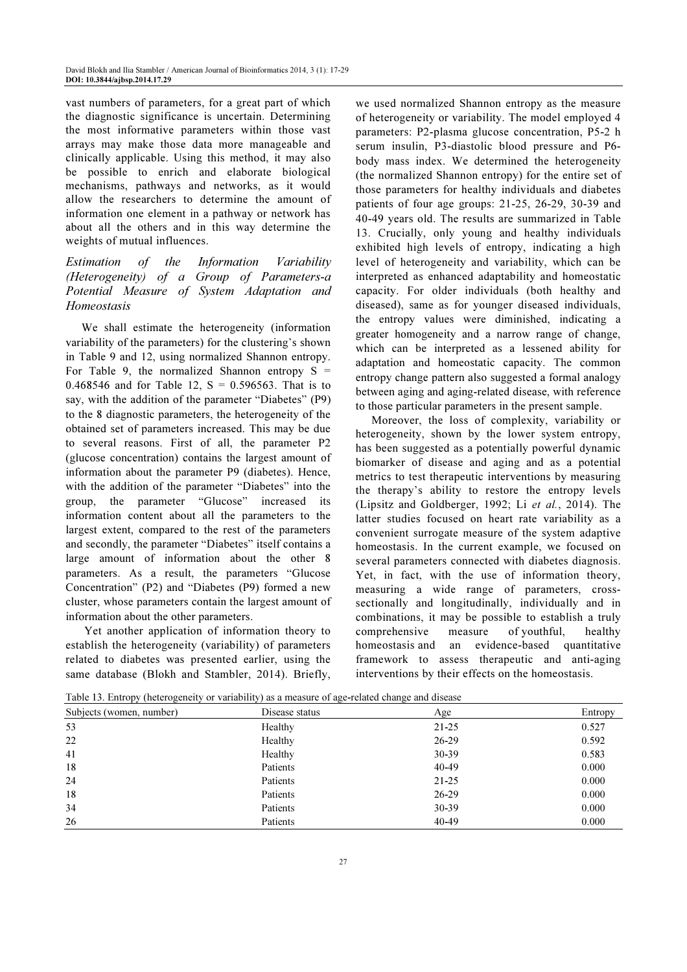vast numbers of parameters, for a great part of which the diagnostic significance is uncertain. Determining the most informative parameters within those vast arrays may make those data more manageable and clinically applicable. Using this method, it may also be possible to enrich and elaborate biological mechanisms, pathways and networks, as it would allow the researchers to determine the amount of information one element in a pathway or network has about all the others and in this way determine the weights of mutual influences.

# Estimation of the Information Variability (Heterogeneity) of a Group of Parameters-a Potential Measure of System Adaptation and Homeostasis

We shall estimate the heterogeneity (information variability of the parameters) for the clustering's shown in Table 9 and 12, using normalized Shannon entropy. For Table 9, the normalized Shannon entropy  $S =$ 0.468546 and for Table 12,  $S = 0.596563$ . That is to say, with the addition of the parameter "Diabetes" (P9) to the 8 diagnostic parameters, the heterogeneity of the obtained set of parameters increased. This may be due to several reasons. First of all, the parameter P2 (glucose concentration) contains the largest amount of information about the parameter P9 (diabetes). Hence, with the addition of the parameter "Diabetes" into the group, the parameter "Glucose" increased its information content about all the parameters to the largest extent, compared to the rest of the parameters and secondly, the parameter "Diabetes" itself contains a large amount of information about the other 8 parameters. As a result, the parameters "Glucose Concentration" (P2) and "Diabetes (P9) formed a new cluster, whose parameters contain the largest amount of information about the other parameters.

 Yet another application of information theory to establish the heterogeneity (variability) of parameters related to diabetes was presented earlier, using the same database (Blokh and Stambler, 2014). Briefly,

we used normalized Shannon entropy as the measure of heterogeneity or variability. The model employed 4 parameters: P2-plasma glucose concentration, P5-2 h serum insulin, P3-diastolic blood pressure and P6 body mass index. We determined the heterogeneity (the normalized Shannon entropy) for the entire set of those parameters for healthy individuals and diabetes patients of four age groups: 21-25, 26-29, 30-39 and 40-49 years old. The results are summarized in Table 13. Crucially, only young and healthy individuals exhibited high levels of entropy, indicating a high level of heterogeneity and variability, which can be interpreted as enhanced adaptability and homeostatic capacity. For older individuals (both healthy and diseased), same as for younger diseased individuals, the entropy values were diminished, indicating a greater homogeneity and a narrow range of change, which can be interpreted as a lessened ability for adaptation and homeostatic capacity. The common entropy change pattern also suggested a formal analogy between aging and aging-related disease, with reference to those particular parameters in the present sample.

Moreover, the loss of complexity, variability or heterogeneity, shown by the lower system entropy, has been suggested as a potentially powerful dynamic biomarker of disease and aging and as a potential metrics to test therapeutic interventions by measuring the therapy's ability to restore the entropy levels (Lipsitz and Goldberger, 1992; Li et al., 2014). The latter studies focused on heart rate variability as a convenient surrogate measure of the system adaptive homeostasis. In the current example, we focused on several parameters connected with diabetes diagnosis. Yet, in fact, with the use of information theory, measuring a wide range of parameters, crosssectionally and longitudinally, individually and in combinations, it may be possible to establish a truly comprehensive measure of youthful, healthy homeostasis and an evidence-based quantitative framework to assess therapeutic and anti-aging interventions by their effects on the homeostasis.

|  |  | Table 13. Entropy (heterogeneity or variability) as a measure of age-related change and disease |  |  |
|--|--|-------------------------------------------------------------------------------------------------|--|--|
|  |  |                                                                                                 |  |  |

| Subjects (women, number) | Disease status | Age       | Entropy |
|--------------------------|----------------|-----------|---------|
| 53                       | Healthy        | $21 - 25$ | 0.527   |
| 22                       | Healthy        | $26 - 29$ | 0.592   |
| 41                       | Healthy        | $30 - 39$ | 0.583   |
| 18                       | Patients       | 40-49     | 0.000   |
| 24                       | Patients       | $21 - 25$ | 0.000   |
| 18                       | Patients       | $26 - 29$ | 0.000   |
| 34                       | Patients       | $30 - 39$ | 0.000   |
| 26                       | Patients       | 40-49     | 0.000   |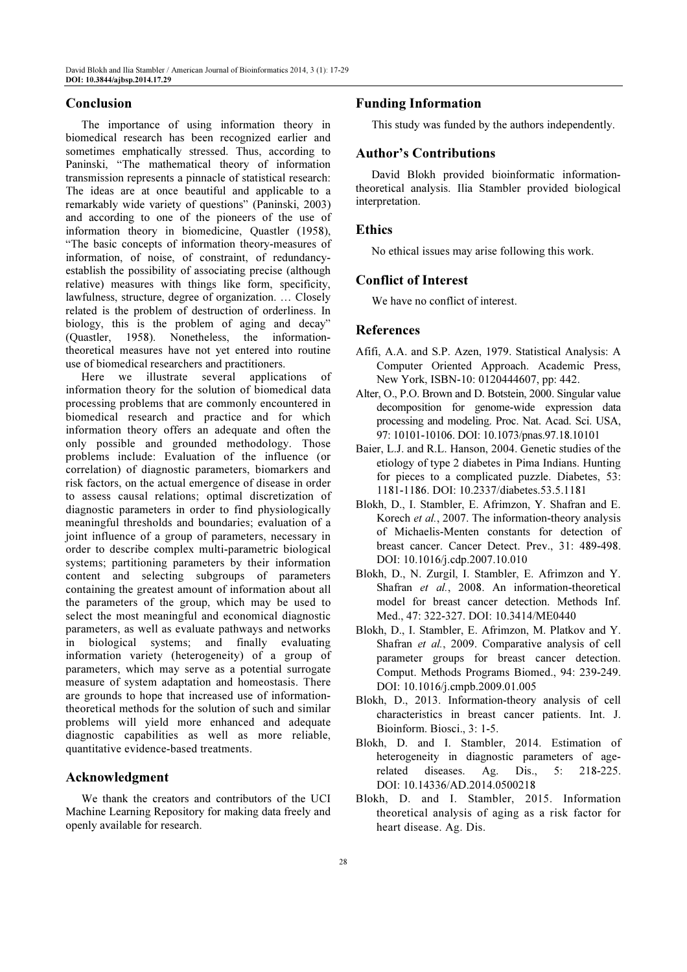# Conclusion

The importance of using information theory in biomedical research has been recognized earlier and sometimes emphatically stressed. Thus, according to Paninski, "The mathematical theory of information transmission represents a pinnacle of statistical research: The ideas are at once beautiful and applicable to a remarkably wide variety of questions" (Paninski, 2003) and according to one of the pioneers of the use of information theory in biomedicine, Quastler (1958), "The basic concepts of information theory-measures of information, of noise, of constraint, of redundancyestablish the possibility of associating precise (although relative) measures with things like form, specificity, lawfulness, structure, degree of organization. … Closely related is the problem of destruction of orderliness. In biology, this is the problem of aging and decay" (Quastler, 1958). Nonetheless, the informationtheoretical measures have not yet entered into routine use of biomedical researchers and practitioners.

Here we illustrate several applications of information theory for the solution of biomedical data processing problems that are commonly encountered in biomedical research and practice and for which information theory offers an adequate and often the only possible and grounded methodology. Those problems include: Evaluation of the influence (or correlation) of diagnostic parameters, biomarkers and risk factors, on the actual emergence of disease in order to assess causal relations; optimal discretization of diagnostic parameters in order to find physiologically meaningful thresholds and boundaries; evaluation of a joint influence of a group of parameters, necessary in order to describe complex multi-parametric biological systems; partitioning parameters by their information content and selecting subgroups of parameters containing the greatest amount of information about all the parameters of the group, which may be used to select the most meaningful and economical diagnostic parameters, as well as evaluate pathways and networks in biological systems; and finally evaluating information variety (heterogeneity) of a group of parameters, which may serve as a potential surrogate measure of system adaptation and homeostasis. There are grounds to hope that increased use of informationtheoretical methods for the solution of such and similar problems will yield more enhanced and adequate diagnostic capabilities as well as more reliable, quantitative evidence-based treatments.

# Acknowledgment

We thank the creators and contributors of the UCI Machine Learning Repository for making data freely and openly available for research.

# Funding Information

This study was funded by the authors independently.

# Author's Contributions

David Blokh provided bioinformatic informationtheoretical analysis. Ilia Stambler provided biological interpretation.

# Ethics

No ethical issues may arise following this work.

# Conflict of Interest

We have no conflict of interest.

# References

- Afifi, A.A. and S.P. Azen, 1979. Statistical Analysis: A Computer Oriented Approach. Academic Press, New York, ISBN-10: 0120444607, pp: 442.
- Alter, O., P.O. Brown and D. Botstein, 2000. Singular value decomposition for genome-wide expression data processing and modeling. Proc. Nat. Acad. Sci. USA, 97: 10101-10106. DOI: 10.1073/pnas.97.18.10101
- Baier, L.J. and R.L. Hanson, 2004. Genetic studies of the etiology of type 2 diabetes in Pima Indians. Hunting for pieces to a complicated puzzle. Diabetes, 53: 1181-1186. DOI: 10.2337/diabetes.53.5.1181
- Blokh, D., I. Stambler, E. Afrimzon, Y. Shafran and E. Korech et al., 2007. The information-theory analysis of Michaelis-Menten constants for detection of breast cancer. Cancer Detect. Prev., 31: 489-498. DOI: 10.1016/j.cdp.2007.10.010
- Blokh, D., N. Zurgil, I. Stambler, E. Afrimzon and Y. Shafran et al., 2008. An information-theoretical model for breast cancer detection. Methods Inf. Med., 47: 322-327. DOI: 10.3414/ME0440
- Blokh, D., I. Stambler, E. Afrimzon, M. Platkov and Y. Shafran et al., 2009. Comparative analysis of cell parameter groups for breast cancer detection. Comput. Methods Programs Biomed., 94: 239-249. DOI: 10.1016/j.cmpb.2009.01.005
- Blokh, D., 2013. Information-theory analysis of cell characteristics in breast cancer patients. Int. J. Bioinform. Biosci., 3: 1-5.
- Blokh, D. and I. Stambler, 2014. Estimation of heterogeneity in diagnostic parameters of agerelated diseases. Ag. Dis., 5: 218-225. DOI: 10.14336/AD.2014.0500218
- Blokh, D. and I. Stambler, 2015. Information theoretical analysis of aging as a risk factor for heart disease. Ag. Dis.